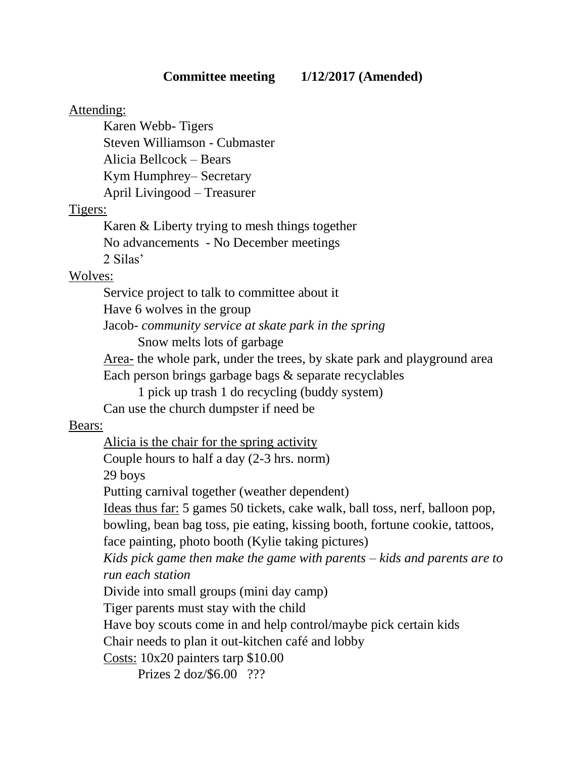### Attending:

Karen Webb- Tigers Steven Williamson - Cubmaster Alicia Bellcock – Bears Kym Humphrey– Secretary April Livingood – Treasurer

## Tigers:

Karen & Liberty trying to mesh things together No advancements - No December meetings 2 Silas'

# Wolves:

Service project to talk to committee about it Have 6 wolves in the group Jacob- *community service at skate park in the spring* Snow melts lots of garbage

Area- the whole park, under the trees, by skate park and playground area Each person brings garbage bags & separate recyclables

1 pick up trash 1 do recycling (buddy system)

Can use the church dumpster if need be

## Bears:

Alicia is the chair for the spring activity Couple hours to half a day (2-3 hrs. norm) 29 boys Putting carnival together (weather dependent) Ideas thus far: 5 games 50 tickets, cake walk, ball toss, nerf, balloon pop, bowling, bean bag toss, pie eating, kissing booth, fortune cookie, tattoos, face painting, photo booth (Kylie taking pictures) *Kids pick game then make the game with parents – kids and parents are to run each station* Divide into small groups (mini day camp) Tiger parents must stay with the child Have boy scouts come in and help control/maybe pick certain kids Chair needs to plan it out-kitchen café and lobby Costs: 10x20 painters tarp \$10.00

Prizes 2 doz/\$6.00 ???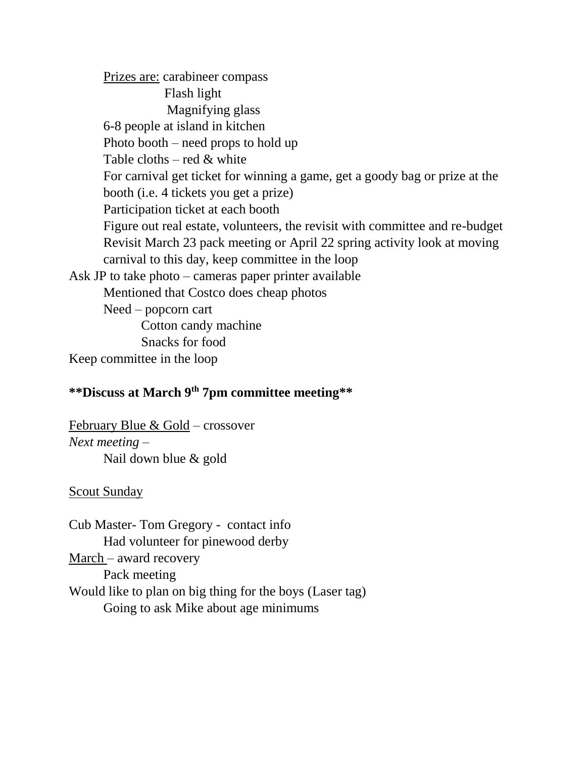Prizes are: carabineer compass Flash light Magnifying glass 6-8 people at island in kitchen Photo booth – need props to hold up Table cloths – red & white For carnival get ticket for winning a game, get a goody bag or prize at the booth (i.e. 4 tickets you get a prize) Participation ticket at each booth Figure out real estate, volunteers, the revisit with committee and re-budget Revisit March 23 pack meeting or April 22 spring activity look at moving carnival to this day, keep committee in the loop Ask JP to take photo – cameras paper printer available Mentioned that Costco does cheap photos Need – popcorn cart Cotton candy machine Snacks for food

Keep committee in the loop

#### **\*\*Discuss at March 9th 7pm committee meeting\*\***

February Blue & Gold – crossover *Next meeting –* Nail down blue & gold

#### Scout Sunday

Cub Master- Tom Gregory - contact info Had volunteer for pinewood derby March – award recovery Pack meeting Would like to plan on big thing for the boys (Laser tag) Going to ask Mike about age minimums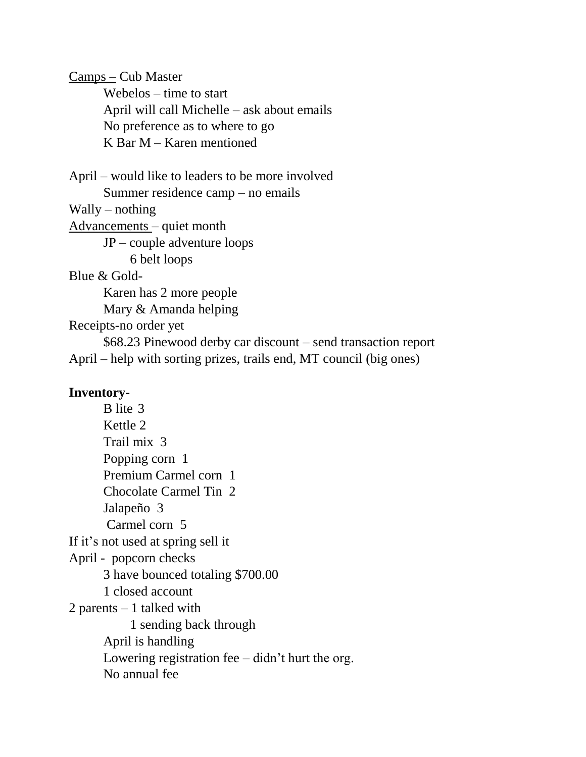Camps – Cub Master

Webelos – time to start April will call Michelle – ask about emails No preference as to where to go K Bar M – Karen mentioned

April – would like to leaders to be more involved Summer residence camp – no emails Wally – nothing Advancements – quiet month JP – couple adventure loops 6 belt loops Blue & Gold-Karen has 2 more people Mary & Amanda helping Receipts-no order yet \$68.23 Pinewood derby car discount – send transaction report April – help with sorting prizes, trails end, MT council (big ones)

#### **Inventory-**

B lite 3 Kettle 2 Trail mix 3 Popping corn 1 Premium Carmel corn 1 Chocolate Carmel Tin 2 Jalapeño 3 Carmel corn 5 If it's not used at spring sell it April - popcorn checks 3 have bounced totaling \$700.00 1 closed account 2 parents – 1 talked with 1 sending back through April is handling Lowering registration fee – didn't hurt the org. No annual fee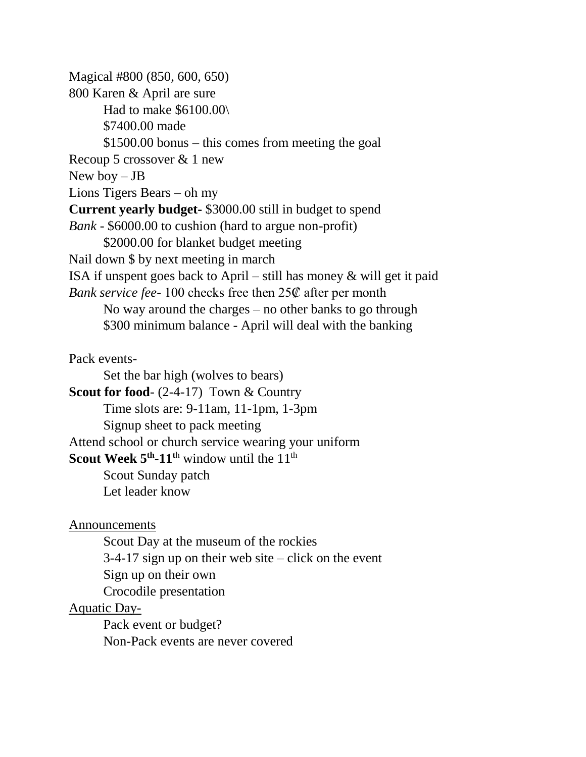Magical #800 (850, 600, 650) 800 Karen & April are sure Had to make \$6100.00\ \$7400.00 made \$1500.00 bonus – this comes from meeting the goal Recoup 5 crossover & 1 new New boy – JB Lions Tigers Bears – oh my **Current yearly budget-** \$3000.00 still in budget to spend *Bank -* \$6000.00 to cushion (hard to argue non-profit) \$2000.00 for blanket budget meeting Nail down \$ by next meeting in march ISA if unspent goes back to April – still has money & will get it paid *Bank service fee-* 100 checks free then 25₡ after per month No way around the charges – no other banks to go through \$300 minimum balance - April will deal with the banking

Pack events-

Set the bar high (wolves to bears)

**Scout for food**- (2-4-17) Town & Country

Time slots are: 9-11am, 11-1pm, 1-3pm

Signup sheet to pack meeting

Attend school or church service wearing your uniform

**Scout Week 5<sup>th</sup>-11<sup>th</sup> window until the 11<sup>th</sup>** 

Scout Sunday patch Let leader know

Announcements

Scout Day at the museum of the rockies 3-4-17 sign up on their web site – click on the event Sign up on their own Crocodile presentation Aquatic Day-

Pack event or budget? Non-Pack events are never covered